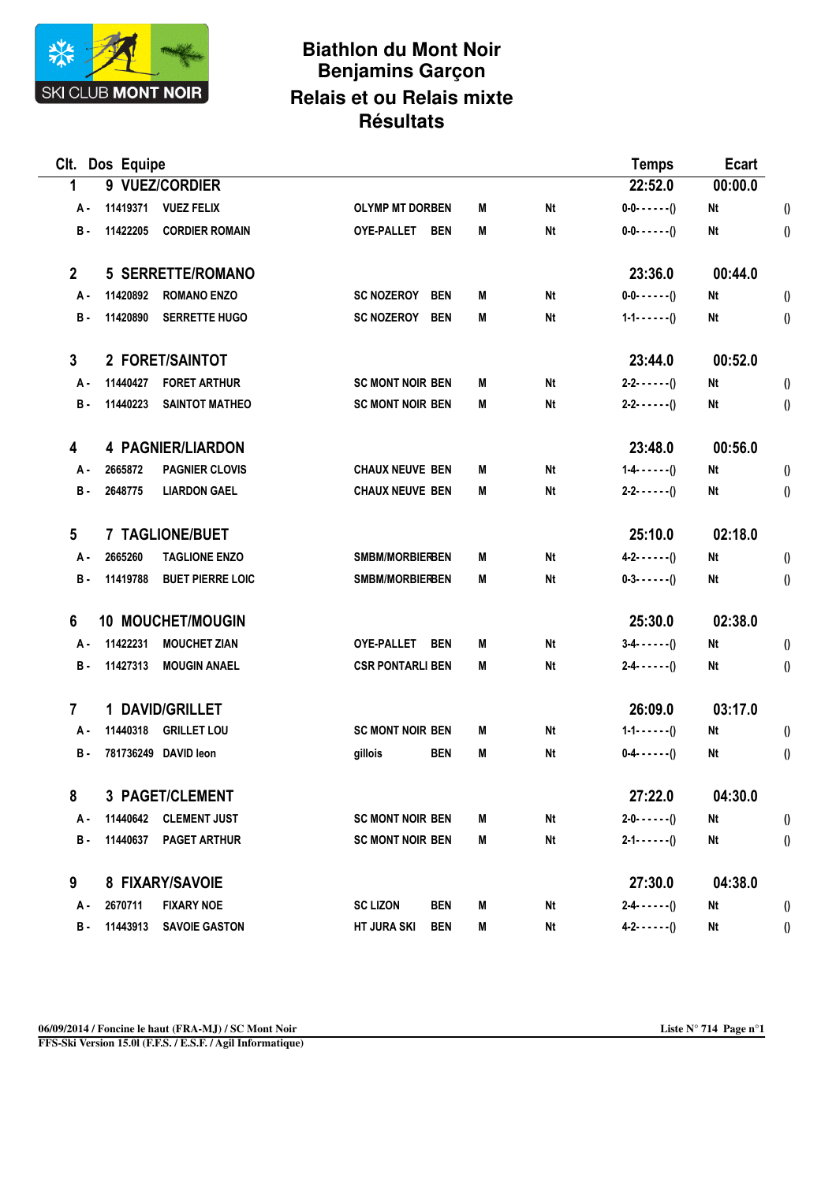

## **Biathlon du Mont Noir Benjamins Garçon Relais et ou Relais mixte Résultats**

| CIt.            | Dos Equipe      |                          |                                  |   |           |                       | Ecart   |                       |
|-----------------|-----------------|--------------------------|----------------------------------|---|-----------|-----------------------|---------|-----------------------|
| 1               |                 | 9 VUEZ/CORDIER           |                                  |   | 22:52.0   | 00:00.0               |         |                       |
| A-              | 11419371        | <b>VUEZ FELIX</b>        | <b>OLYMP MT DORBEN</b>           | M | <b>Nt</b> | $0 - 0 - - - - - ( )$ | Nt      | $\boldsymbol{0}$      |
| <b>B</b> -      | 11422205        | <b>CORDIER ROMAIN</b>    | OYE-PALLET BEN                   | M | <b>Nt</b> | $0 - 0 - - - - - (1)$ | Nt      | $\theta$              |
| $\mathbf{2}$    |                 | <b>5 SERRETTE/ROMANO</b> |                                  |   |           | 23:36.0               | 00:44.0 |                       |
| A-              | 11420892        | <b>ROMANO ENZO</b>       | <b>SC NOZEROY</b><br><b>BEN</b>  | М | Nt        | $0 - 0 - - - - - ( )$ | Nt      | $\boldsymbol{0}$      |
| <b>B</b> -      | 11420890        | <b>SERRETTE HUGO</b>     | <b>SC NOZEROY</b><br><b>BEN</b>  | M | <b>Nt</b> | $1 - 1 - - - - - (1)$ | Nt      | $\theta$              |
| $\mathbf{3}$    |                 | 2 FORET/SAINTOT          |                                  |   |           | 23:44.0               | 00:52.0 |                       |
| A-              | 11440427        | <b>FORET ARTHUR</b>      | <b>SC MONT NOIR BEN</b>          | M | Nt        | $2 - 2 - 7 - 7$       | Nt      | $\boldsymbol{\theta}$ |
| <b>B</b> -      | 11440223        | <b>SAINTOT MATHEO</b>    | <b>SC MONT NOIR BEN</b>          | M | Nt        | $2 - 2 - - - - - ( )$ | Nt      | $\boldsymbol{0}$      |
| 4               |                 | <b>4 PAGNIER/LIARDON</b> |                                  |   |           | 23:48.0               | 00:56.0 |                       |
| А.              | 2665872         | <b>PAGNIER CLOVIS</b>    | <b>CHAUX NEUVE BEN</b>           | M | <b>Nt</b> | $1 - 4 - - - - ( )$   | Nt      | $\boldsymbol{\theta}$ |
| <b>B</b> -      | 2648775         | <b>LIARDON GAEL</b>      | <b>CHAUX NEUVE BEN</b>           | M | <b>Nt</b> | $2 - 2 - 7 - 7$       | Nt      | $\boldsymbol{\theta}$ |
| $5\phantom{.0}$ |                 | 7 TAGLIONE/BUET          |                                  |   |           | 25:10.0               | 02:18.0 |                       |
| A-              | 2665260         | <b>TAGLIONE ENZO</b>     | SMBM/MORBIERBEN                  | M | Nt        | $4 - 2 - - - - ( )$   | Nt      | $\boldsymbol{\theta}$ |
| <b>B</b> -      | 11419788        | <b>BUET PIERRE LOIC</b>  | <b>SMBM/MORBIERBEN</b>           | M | <b>Nt</b> | $0-3-(-2)$            | Nt      | $\theta$              |
| 6               |                 | <b>10 MOUCHET/MOUGIN</b> |                                  |   |           | 25:30.0               | 02:38.0 |                       |
| A -             | 11422231        | <b>MOUCHET ZIAN</b>      | <b>OYE-PALLET</b><br><b>BEN</b>  | M | Nt        | $3-4- - - - ( )$      | Nt      | $\boldsymbol{0}$      |
| <b>B</b> -      | 11427313        | <b>MOUGIN ANAEL</b>      | <b>CSR PONTARLI BEN</b>          | M | Nt        | $2 - 4 - - - - - ( )$ | Nt      | $\boldsymbol{0}$      |
| $\overline{7}$  |                 | 1 DAVID/GRILLET          |                                  |   |           | 26:09.0               | 03:17.0 |                       |
| А.              | 11440318        | <b>GRILLET LOU</b>       | <b>SC MONT NOIR BEN</b>          | M | <b>Nt</b> | $1 - 1 - - - - - ()$  | Nt      | $\boldsymbol{0}$      |
| <b>B</b> -      |                 | 781736249 DAVID leon     | <b>BEN</b><br>gillois            | M | Nt        | $0-4- - - - -$ ()     | Nt      | $\boldsymbol{0}$      |
| 8               |                 | 3 PAGET/CLEMENT          |                                  |   |           | 27:22.0               | 04:30.0 |                       |
| Α.              | 11440642        | <b>CLEMENT JUST</b>      | <b>SC MONT NOIR BEN</b>          | M | Nt        | $2 - 0 - - - - - ( )$ | Nt      | $\theta$              |
| $\, {\bf B}$ -  | 11440637        | <b>PAGET ARTHUR</b>      | <b>SC MONT NOIR BEN</b>          | M | Nt        | $2 - 1 - - - - - ()$  | Nt      | $\boldsymbol{0}$      |
| 9               | 8 FIXARY/SAVOIE |                          |                                  |   |           | 27:30.0               | 04:38.0 |                       |
| Α.              | 2670711         | <b>FIXARY NOE</b>        | <b>SC LIZON</b><br><b>BEN</b>    | M | Nt        | $2 - 4 - - - - ( )$   | Nt      | 0                     |
| В.              | 11443913        | <b>SAVOIE GASTON</b>     | <b>HT JURA SKI</b><br><b>BEN</b> | M | Nt        | $4 - 2 - - - - - ( )$ | Nt      | $\boldsymbol{0}$      |

**FFS-Ski Version 15.0l (F.F.S. / E.S.F. / Agil Informatique)**